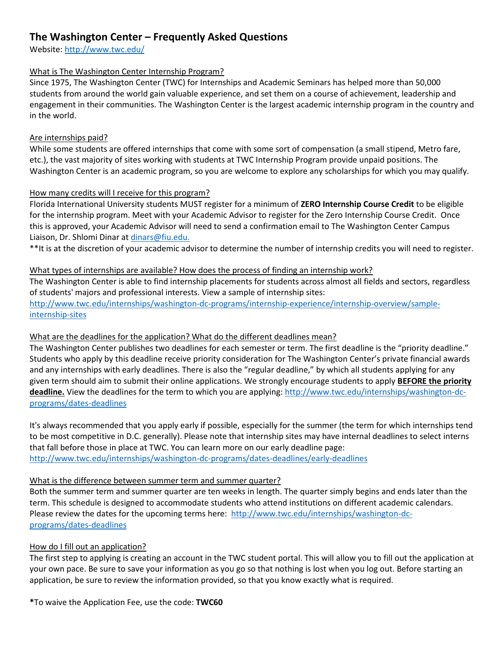# **The Washington Center – Frequently Asked Questions**

Website[: http://www.twc.edu/](http://www.twc.edu/)

#### What is The Washington Center Internship Program?

Since 1975, The Washington Center (TWC) for Internships and Academic Seminars has helped more than 50,000 students from around the world gain valuable experience, and set them on a course of achievement, leadership and engagement in their communities. The Washington Center is the largest academic internship program in the country and in the world.

#### Are internships paid?

While some students are offered internships that come with some sort of compensation (a small stipend, Metro fare, etc.), the vast majority of sites working with students at TWC Internship Program provide unpaid positions. The Washington Center is an academic program, so you are welcome to explore any scholarships for which you may qualify.

#### How many credits will I receive for this program?

Florida International University students MUST register for a minimum of **ZERO Internship Course Credit** to be eligible for the internship program. Meet with your Academic Advisor to register for the Zero Internship Course Credit. Once this is approved, your Academic Advisor will need to send a confirmation email to The Washington Center Campus Liaison, Dr. Shlomi Dinar at [dinars@fiu.edu.](mailto:dinars@fiu.edu)

\*\*It is at the discretion of your academic advisor to determine the number of internship credits you will need to register.

#### What types of internships are available? How does the process of finding an internship work?

The Washington Center is able to find internship placements for students across almost all fields and sectors, regardless of students' majors and professional interests. View a sample of internship sites: [http://www.twc.edu/internships/washington-dc-programs/internship-experience/internship-overview/sample](http://www.twc.edu/internships/washington-dc-programs/internship-experience/internship-overview/sample-internship-sites)[internship-sites](http://www.twc.edu/internships/washington-dc-programs/internship-experience/internship-overview/sample-internship-sites)

#### What are the deadlines for the application? What do the different deadlines mean?

The Washington Center publishes two deadlines for each semester or term. The first deadline is the "priority deadline." Students who apply by this deadline receive priority consideration for The Washington Center's private financial awards and any internships with early deadlines. There is also the "regular deadline," by which all students applying for any given term should aim to submit their online applications. We strongly encourage students to apply **BEFORE the priority deadline.** View the deadlines for the term to which you are applying: [http://www.twc.edu/internships/washington-dc](http://www.twc.edu/internships/washington-dc-programs/dates-deadlines)[programs/dates-deadlines](http://www.twc.edu/internships/washington-dc-programs/dates-deadlines)

It's always recommended that you apply early if possible, especially for the summer (the term for which internships tend to be most competitive in D.C. generally). Please note that internship sites may have internal deadlines to select interns that fall before those in place at TWC. You can learn more on our early deadline page: <http://www.twc.edu/internships/washington-dc-programs/dates-deadlines/early-deadlines>

#### What is the difference between summer term and summer quarter?

Both the summer term and summer quarter are ten weeks in length. The quarter simply begins and ends later than the term. This schedule is designed to accommodate students who attend institutions on different academic calendars. Please review the dates for the upcoming terms here: [http://www.twc.edu/internships/washington-dc](http://www.twc.edu/internships/washington-dc-programs/dates-deadlines)[programs/dates-deadlines](http://www.twc.edu/internships/washington-dc-programs/dates-deadlines)

## How do I fill out an application?

The first step to applying is creating an account in the TWC student portal. This will allow you to fill out the application at your own pace. Be sure to save your information as you go so that nothing is lost when you log out. Before starting an application, be sure to review the information provided, so that you know exactly what is required.

**\***To waive the Application Fee, use the code: **TWC60**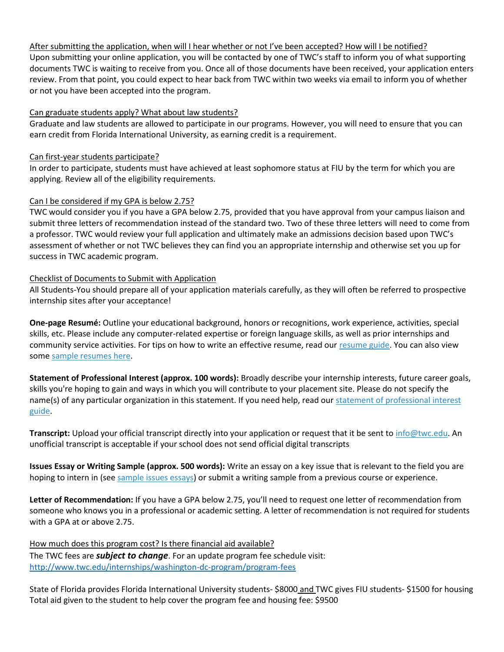#### After submitting the application, when will I hear whether or not I've been accepted? How will I be notified?

Upon submitting your online application, you will be contacted by one of TWC's staff to inform you of what supporting documents TWC is waiting to receive from you. Once all of those documents have been received, your application enters review. From that point, you could expect to hear back from TWC within two weeks via email to inform you of whether or not you have been accepted into the program.

#### Can graduate students apply? What about law students?

Graduate and law students are allowed to participate in our programs. However, you will need to ensure that you can earn credit from Florida International University, as earning credit is a requirement.

#### Can first-year students participate?

In order to participate, students must have achieved at least sophomore status at FIU by the term for which you are applying. Review all of the eligibility requirements.

#### Can I be considered if my GPA is below 2.75?

TWC would consider you if you have a GPA below 2.75, provided that you have approval from your campus liaison and submit three letters of recommendation instead of the standard two. Two of these three letters will need to come from a professor. TWC would review your full application and ultimately make an admissions decision based upon TWC's assessment of whether or not TWC believes they can find you an appropriate internship and otherwise set you up for success in TWC academic program.

#### Checklist of Documents to Submit with Application

All Students-You should prepare all of your application materials carefully, as they will often be referred to prospective internship sites after your acceptance!

**One-page Resumé:** Outline your educational background, honors or recognitions, work experience, activities, special skills, etc. Please include any computer-related expertise or foreign language skills, as well as prior internships and community service activities. For tips on how to write an effective resume, read our [resume guide.](https://resources.twc.edu/applying/tips-writing-effective-resume) You can also view some [sample resumes here.](https://resources.twc.edu/applying/resume-samples)

**Statement of Professional Interest (approx. 100 words):** Broadly describe your internship interests, future career goals, skills you're hoping to gain and ways in which you will contribute to your placement site. Please do not specify the name(s) of any particular organization in this statement. If you need help, read our statement [of professional interest](https://resources.twc.edu/applying/statement-professional-interest)  [guide.](https://resources.twc.edu/applying/statement-professional-interest)

**Transcript:** Upload your official transcript directly into your application or request that it be sent to [info@twc.edu.](mailto:info@twc.edu) An unofficial transcript is acceptable if your school does not send official digital transcripts

**Issues Essay or Writing Sample (approx. 500 words):** Write an essay on a key issue that is relevant to the field you are hoping to intern in (see [sample issues essays\)](https://resources.twc.edu/applying/sample-issues-essays) or submit a writing sample from a previous course or experience.

**Letter of Recommendation:** If you have a GPA below 2.75, you'll need to request one letter of recommendation from someone who knows you in a professional or academic setting. A letter of recommendation is not required for students with a GPA at or above 2.75.

How much does this program cost? Is there financial aid available? The TWC fees are *subject to change*. For an update program fee schedule visit: <http://www.twc.edu/internships/washington-dc-program/program-fees>

State of Florida provides Florida International University students- \$8000 and TWC gives FIU students- \$1500 for housing Total aid given to the student to help cover the program fee and housing fee: \$9500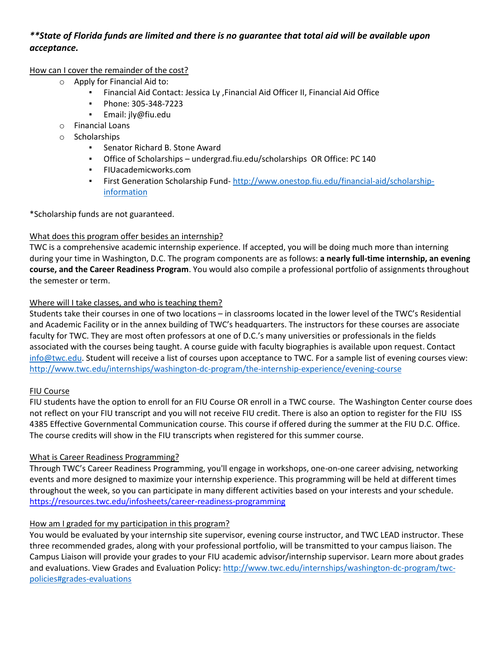## *\*\*State of Florida funds are limited and there is no guarantee that total aid will be available upon acceptance.*

#### How can I cover the remainder of the cost?

- o Apply for Financial Aid to:
	- Financial Aid Contact: Jessica Ly ,Financial Aid Officer II, Financial Aid Office
	- Phone: 305-348-7223
	- Email: jly@fiu.edu
- o Financial Loans
- o Scholarships
	- Senator Richard B. Stone Award
	- Office of Scholarships undergrad.fiu.edu/scholarships OR Office: PC 140
	- FIUacademicworks.com
	- **Eirst Generation Scholarship Fund-[http://www.onestop.fiu.edu/financial-aid/scholarship](http://www.onestop.fiu.edu/financial-aid/scholarship-information)**[information](http://www.onestop.fiu.edu/financial-aid/scholarship-information)

\*Scholarship funds are not guaranteed.

## What does this program offer besides an internship?

TWC is a comprehensive academic internship experience. If accepted, you will be doing much more than interning during your time in Washington, D.C. The program components are as follows: **a nearly full-time internship, an evening course, and the Career Readiness Program**. You would also compile a professional portfolio of assignments throughout the semester or term.

## Where will I take classes, and who is teaching them?

Students take their courses in one of two locations – in classrooms located in the lower level of the TWC's Residential and Academic Facility or in the annex building of TWC's headquarters. The instructors for these courses are associate faculty for TWC. They are most often professors at one of D.C.'s many universities or professionals in the fields associated with the courses being taught. A course guide with faculty biographies is available upon request. Contact [info@twc.edu.](mailto:info@twc.edu) Student will receive a list of courses upon acceptance to TWC. For a sample list of evening courses view: <http://www.twc.edu/internships/washington-dc-program/the-internship-experience/evening-course>

## FIU Course

FIU students have the option to enroll for an FIU Course OR enroll in a TWC course. The Washington Center course does not reflect on your FIU transcript and you will not receive FIU credit. There is also an option to register for the FIU ISS 4385 Effective Governmental Communication course. This course if offered during the summer at the FIU D.C. Office. The course credits will show in the FIU transcripts when registered for this summer course.

## What is Career Readiness Programming?

Through TWC's Career Readiness Programming, you'll engage in workshops, one-on-one career advising, networking events and more designed to maximize your internship experience. This programming will be held at different times throughout the week, so you can participate in many different activities based on your interests and your schedule. <https://resources.twc.edu/infosheets/career-readiness-programming>

## How am I graded for my participation in this program?

You would be evaluated by your internship site supervisor, evening course instructor, and TWC LEAD instructor. These three recommended grades, along with your professional portfolio, will be transmitted to your campus liaison. The Campus Liaison will provide your grades to your FIU academic advisor/internship supervisor. Learn more about grades and evaluations. View Grades and Evaluation Policy: [http://www.twc.edu/internships/washington-dc-program/twc](http://www.twc.edu/internships/washington-dc-program/twc-policies#grades-evaluations)[policies#grades-evaluations](http://www.twc.edu/internships/washington-dc-program/twc-policies#grades-evaluations)